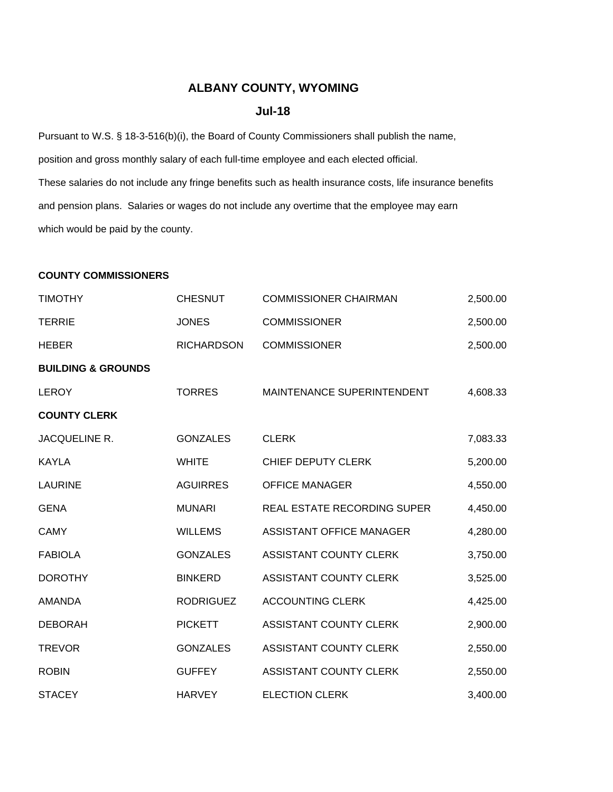## **ALBANY COUNTY, WYOMING**

## **Jul-18**

Pursuant to W.S. § 18-3-516(b)(i), the Board of County Commissioners shall publish the name, position and gross monthly salary of each full-time employee and each elected official. These salaries do not include any fringe benefits such as health insurance costs, life insurance benefits and pension plans. Salaries or wages do not include any overtime that the employee may earn which would be paid by the county.

## **COUNTY COMMISSIONERS**

| <b>TIMOTHY</b>                | <b>CHESNUT</b>    | <b>COMMISSIONER CHAIRMAN</b>  | 2,500.00 |
|-------------------------------|-------------------|-------------------------------|----------|
| <b>TERRIE</b>                 | <b>JONES</b>      | <b>COMMISSIONER</b>           | 2,500.00 |
| <b>HEBER</b>                  | <b>RICHARDSON</b> | <b>COMMISSIONER</b>           | 2,500.00 |
| <b>BUILDING &amp; GROUNDS</b> |                   |                               |          |
| <b>LEROY</b>                  | <b>TORRES</b>     | MAINTENANCE SUPERINTENDENT    | 4,608.33 |
| <b>COUNTY CLERK</b>           |                   |                               |          |
| JACQUELINE R.                 | <b>GONZALES</b>   | <b>CLERK</b>                  | 7,083.33 |
| <b>KAYLA</b>                  | <b>WHITE</b>      | CHIEF DEPUTY CLERK            | 5,200.00 |
| <b>LAURINE</b>                | <b>AGUIRRES</b>   | <b>OFFICE MANAGER</b>         | 4,550.00 |
| <b>GENA</b>                   | <b>MUNARI</b>     | REAL ESTATE RECORDING SUPER   | 4,450.00 |
| <b>CAMY</b>                   | <b>WILLEMS</b>    | ASSISTANT OFFICE MANAGER      | 4,280.00 |
| <b>FABIOLA</b>                | <b>GONZALES</b>   | ASSISTANT COUNTY CLERK        | 3,750.00 |
| <b>DOROTHY</b>                | <b>BINKERD</b>    | ASSISTANT COUNTY CLERK        | 3,525.00 |
| <b>AMANDA</b>                 | <b>RODRIGUEZ</b>  | <b>ACCOUNTING CLERK</b>       | 4,425.00 |
| <b>DEBORAH</b>                | <b>PICKETT</b>    | ASSISTANT COUNTY CLERK        | 2,900.00 |
| <b>TREVOR</b>                 | <b>GONZALES</b>   | <b>ASSISTANT COUNTY CLERK</b> | 2,550.00 |
| <b>ROBIN</b>                  | <b>GUFFEY</b>     | ASSISTANT COUNTY CLERK        | 2,550.00 |
| <b>STACEY</b>                 | <b>HARVEY</b>     | <b>ELECTION CLERK</b>         | 3,400.00 |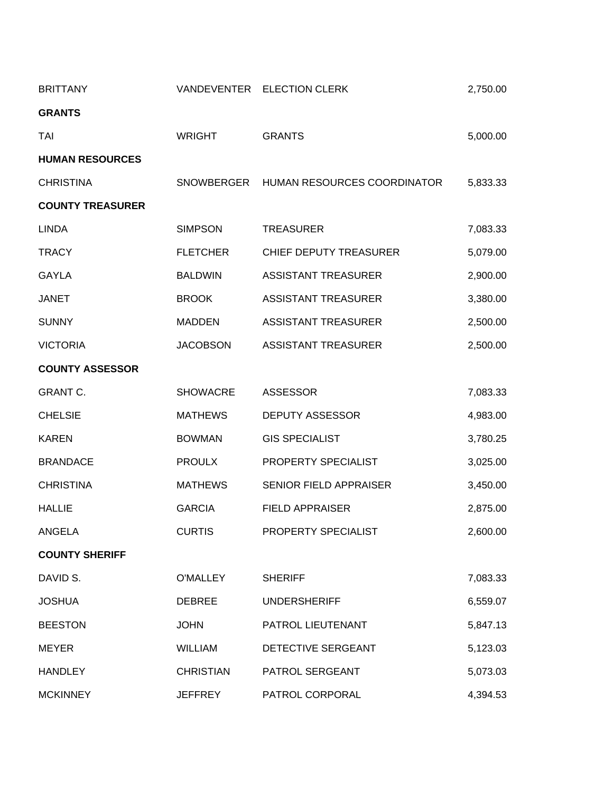| <b>BRITTANY</b>         |                  | VANDEVENTER ELECTION CLERK  | 2,750.00 |
|-------------------------|------------------|-----------------------------|----------|
| <b>GRANTS</b>           |                  |                             |          |
| TAI                     | <b>WRIGHT</b>    | <b>GRANTS</b>               | 5,000.00 |
| <b>HUMAN RESOURCES</b>  |                  |                             |          |
| <b>CHRISTINA</b>        | SNOWBERGER       | HUMAN RESOURCES COORDINATOR | 5,833.33 |
| <b>COUNTY TREASURER</b> |                  |                             |          |
| <b>LINDA</b>            | <b>SIMPSON</b>   | <b>TREASURER</b>            | 7,083.33 |
| <b>TRACY</b>            | <b>FLETCHER</b>  | CHIEF DEPUTY TREASURER      | 5,079.00 |
| <b>GAYLA</b>            | <b>BALDWIN</b>   | <b>ASSISTANT TREASURER</b>  | 2,900.00 |
| <b>JANET</b>            | <b>BROOK</b>     | <b>ASSISTANT TREASURER</b>  | 3,380.00 |
| <b>SUNNY</b>            | <b>MADDEN</b>    | <b>ASSISTANT TREASURER</b>  | 2,500.00 |
| <b>VICTORIA</b>         | <b>JACOBSON</b>  | <b>ASSISTANT TREASURER</b>  | 2,500.00 |
| <b>COUNTY ASSESSOR</b>  |                  |                             |          |
| <b>GRANT C.</b>         | <b>SHOWACRE</b>  | <b>ASSESSOR</b>             | 7,083.33 |
| <b>CHELSIE</b>          | <b>MATHEWS</b>   | <b>DEPUTY ASSESSOR</b>      | 4,983.00 |
| <b>KAREN</b>            | <b>BOWMAN</b>    | <b>GIS SPECIALIST</b>       | 3,780.25 |
| <b>BRANDACE</b>         | <b>PROULX</b>    | PROPERTY SPECIALIST         | 3,025.00 |
| <b>CHRISTINA</b>        | <b>MATHEWS</b>   | SENIOR FIELD APPRAISER      | 3,450.00 |
| <b>HALLIE</b>           | <b>GARCIA</b>    | <b>FIELD APPRAISER</b>      | 2,875.00 |
| <b>ANGELA</b>           | <b>CURTIS</b>    | PROPERTY SPECIALIST         | 2,600.00 |
| <b>COUNTY SHERIFF</b>   |                  |                             |          |
| DAVID S.                | <b>O'MALLEY</b>  | <b>SHERIFF</b>              | 7,083.33 |
| <b>JOSHUA</b>           | <b>DEBREE</b>    | <b>UNDERSHERIFF</b>         | 6,559.07 |
| <b>BEESTON</b>          | <b>JOHN</b>      | PATROL LIEUTENANT           | 5,847.13 |
| <b>MEYER</b>            | <b>WILLIAM</b>   | DETECTIVE SERGEANT          | 5,123.03 |
| <b>HANDLEY</b>          | <b>CHRISTIAN</b> | PATROL SERGEANT             | 5,073.03 |
| <b>MCKINNEY</b>         | <b>JEFFREY</b>   | PATROL CORPORAL             | 4,394.53 |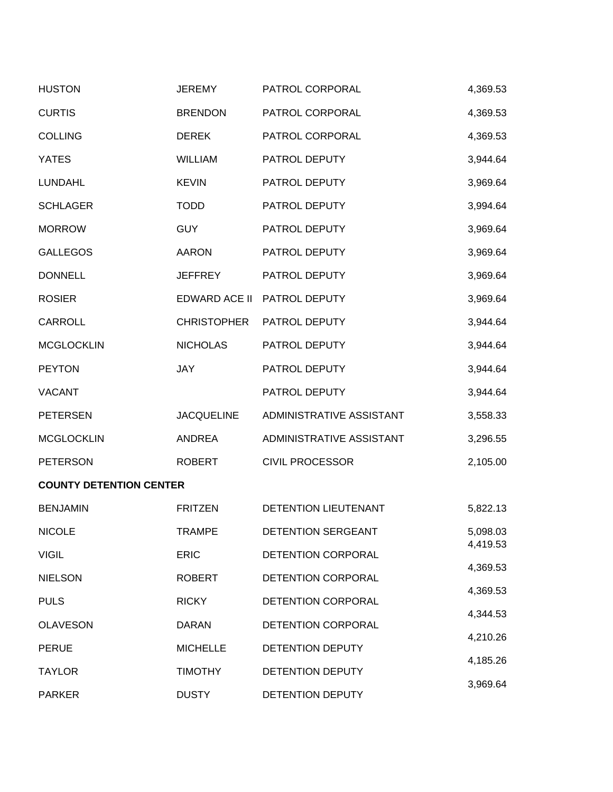| <b>HUSTON</b>                  | <b>JEREMY</b>      | PATROL CORPORAL          | 4,369.53 |
|--------------------------------|--------------------|--------------------------|----------|
| <b>CURTIS</b>                  | <b>BRENDON</b>     | PATROL CORPORAL          | 4,369.53 |
| <b>COLLING</b>                 | <b>DEREK</b>       | PATROL CORPORAL          | 4,369.53 |
| <b>YATES</b>                   | <b>WILLIAM</b>     | PATROL DEPUTY            | 3,944.64 |
| <b>LUNDAHL</b>                 | <b>KEVIN</b>       | PATROL DEPUTY            | 3,969.64 |
| <b>SCHLAGER</b>                | <b>TODD</b>        | PATROL DEPUTY            | 3,994.64 |
| <b>MORROW</b>                  | <b>GUY</b>         | PATROL DEPUTY            | 3,969.64 |
| <b>GALLEGOS</b>                | <b>AARON</b>       | PATROL DEPUTY            | 3,969.64 |
| <b>DONNELL</b>                 | <b>JEFFREY</b>     | PATROL DEPUTY            | 3,969.64 |
| <b>ROSIER</b>                  | EDWARD ACE II      | PATROL DEPUTY            | 3,969.64 |
| CARROLL                        | <b>CHRISTOPHER</b> | PATROL DEPUTY            | 3,944.64 |
| <b>MCGLOCKLIN</b>              | <b>NICHOLAS</b>    | PATROL DEPUTY            | 3,944.64 |
| <b>PEYTON</b>                  | JAY                | PATROL DEPUTY            | 3,944.64 |
| <b>VACANT</b>                  |                    | PATROL DEPUTY            | 3,944.64 |
| <b>PETERSEN</b>                | <b>JACQUELINE</b>  | ADMINISTRATIVE ASSISTANT | 3,558.33 |
| <b>MCGLOCKLIN</b>              | <b>ANDREA</b>      | ADMINISTRATIVE ASSISTANT | 3,296.55 |
| <b>PETERSON</b>                | <b>ROBERT</b>      | <b>CIVIL PROCESSOR</b>   | 2,105.00 |
| <b>COUNTY DETENTION CENTER</b> |                    |                          |          |
| <b>BENJAMIN</b>                | <b>FRITZEN</b>     | DETENTION LIEUTENANT     | 5,822.13 |
| <b>NICOLE</b>                  | TRAMPE             | DETENTION SERGEANT       | 5,098.03 |
| <b>VIGIL</b>                   | <b>ERIC</b>        | DETENTION CORPORAL       | 4,419.53 |
| <b>NIELSON</b>                 | <b>ROBERT</b>      | DETENTION CORPORAL       | 4,369.53 |
| <b>PULS</b>                    | <b>RICKY</b>       | DETENTION CORPORAL       | 4,369.53 |
| <b>OLAVESON</b>                | <b>DARAN</b>       | DETENTION CORPORAL       | 4,344.53 |
| <b>PERUE</b>                   | <b>MICHELLE</b>    | DETENTION DEPUTY         | 4,210.26 |
| <b>TAYLOR</b>                  | <b>TIMOTHY</b>     | DETENTION DEPUTY         | 4,185.26 |
| <b>PARKER</b>                  | <b>DUSTY</b>       | DETENTION DEPUTY         | 3,969.64 |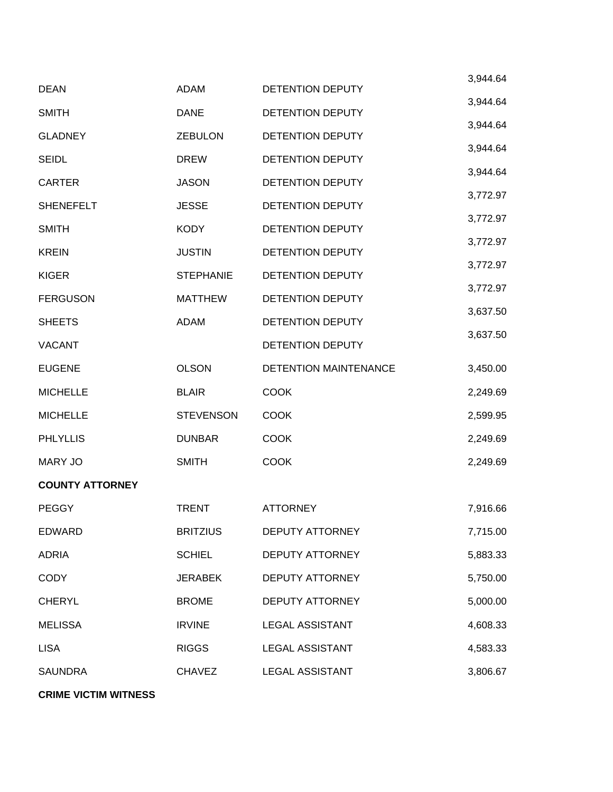|                        |                  |                              | 3,944.64 |
|------------------------|------------------|------------------------------|----------|
| <b>DEAN</b>            | <b>ADAM</b>      | DETENTION DEPUTY             | 3,944.64 |
| <b>SMITH</b>           | <b>DANE</b>      | DETENTION DEPUTY             |          |
| <b>GLADNEY</b>         | <b>ZEBULON</b>   | DETENTION DEPUTY             | 3,944.64 |
| <b>SEIDL</b>           | <b>DREW</b>      | DETENTION DEPUTY             | 3,944.64 |
| <b>CARTER</b>          | <b>JASON</b>     | <b>DETENTION DEPUTY</b>      | 3,944.64 |
| <b>SHENEFELT</b>       | <b>JESSE</b>     | <b>DETENTION DEPUTY</b>      | 3,772.97 |
| <b>SMITH</b>           | <b>KODY</b>      | DETENTION DEPUTY             | 3,772.97 |
| <b>KREIN</b>           | <b>JUSTIN</b>    | DETENTION DEPUTY             | 3,772.97 |
| <b>KIGER</b>           | <b>STEPHANIE</b> | DETENTION DEPUTY             | 3,772.97 |
| <b>FERGUSON</b>        | <b>MATTHEW</b>   | DETENTION DEPUTY             | 3,772.97 |
| <b>SHEETS</b>          | <b>ADAM</b>      | DETENTION DEPUTY             | 3,637.50 |
| <b>VACANT</b>          |                  | DETENTION DEPUTY             | 3,637.50 |
| <b>EUGENE</b>          | <b>OLSON</b>     | <b>DETENTION MAINTENANCE</b> | 3,450.00 |
| <b>MICHELLE</b>        | <b>BLAIR</b>     | <b>COOK</b>                  | 2,249.69 |
| <b>MICHELLE</b>        | <b>STEVENSON</b> | <b>COOK</b>                  | 2,599.95 |
| <b>PHLYLLIS</b>        | <b>DUNBAR</b>    | <b>COOK</b>                  | 2,249.69 |
| <b>MARY JO</b>         | <b>SMITH</b>     | <b>COOK</b>                  | 2,249.69 |
| <b>COUNTY ATTORNEY</b> |                  |                              |          |
| <b>PEGGY</b>           | <b>TRENT</b>     | <b>ATTORNEY</b>              | 7,916.66 |
| <b>EDWARD</b>          | <b>BRITZIUS</b>  | <b>DEPUTY ATTORNEY</b>       | 7,715.00 |
| <b>ADRIA</b>           | <b>SCHIEL</b>    | <b>DEPUTY ATTORNEY</b>       | 5,883.33 |
| <b>CODY</b>            | <b>JERABEK</b>   | <b>DEPUTY ATTORNEY</b>       | 5,750.00 |
| <b>CHERYL</b>          | <b>BROME</b>     | <b>DEPUTY ATTORNEY</b>       | 5,000.00 |
| <b>MELISSA</b>         | <b>IRVINE</b>    | <b>LEGAL ASSISTANT</b>       | 4,608.33 |
| <b>LISA</b>            | <b>RIGGS</b>     | <b>LEGAL ASSISTANT</b>       | 4,583.33 |
| <b>SAUNDRA</b>         | <b>CHAVEZ</b>    | <b>LEGAL ASSISTANT</b>       | 3,806.67 |
|                        |                  |                              |          |

**CRIME VICTIM WITNESS**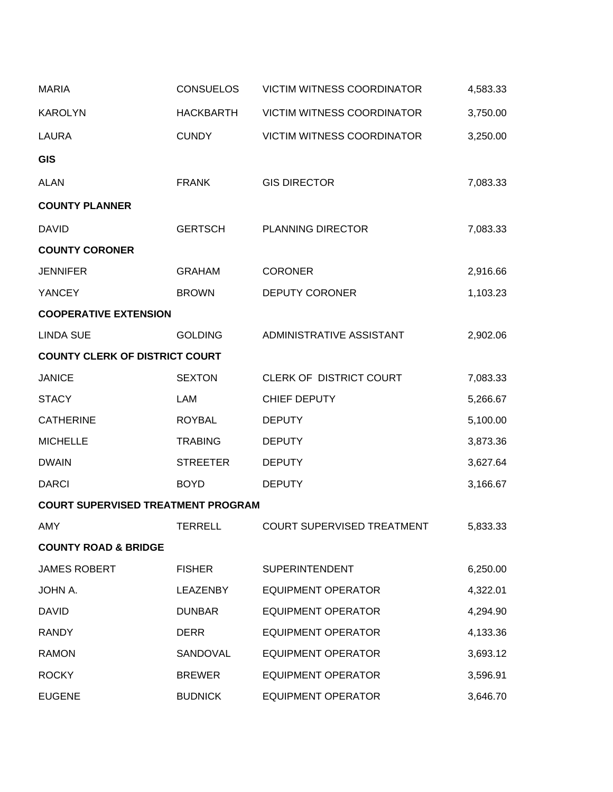| <b>MARIA</b>                              | <b>CONSUELOS</b> | <b>VICTIM WITNESS COORDINATOR</b> | 4,583.33 |
|-------------------------------------------|------------------|-----------------------------------|----------|
| <b>KAROLYN</b>                            | <b>HACKBARTH</b> | <b>VICTIM WITNESS COORDINATOR</b> | 3,750.00 |
| <b>LAURA</b>                              | <b>CUNDY</b>     | <b>VICTIM WITNESS COORDINATOR</b> | 3,250.00 |
| <b>GIS</b>                                |                  |                                   |          |
| <b>ALAN</b>                               | <b>FRANK</b>     | <b>GIS DIRECTOR</b>               | 7,083.33 |
| <b>COUNTY PLANNER</b>                     |                  |                                   |          |
| <b>DAVID</b>                              | <b>GERTSCH</b>   | <b>PLANNING DIRECTOR</b>          | 7,083.33 |
| <b>COUNTY CORONER</b>                     |                  |                                   |          |
| <b>JENNIFER</b>                           | <b>GRAHAM</b>    | <b>CORONER</b>                    | 2,916.66 |
| <b>YANCEY</b>                             | <b>BROWN</b>     | <b>DEPUTY CORONER</b>             | 1,103.23 |
| <b>COOPERATIVE EXTENSION</b>              |                  |                                   |          |
| <b>LINDA SUE</b>                          | <b>GOLDING</b>   | ADMINISTRATIVE ASSISTANT          | 2,902.06 |
| <b>COUNTY CLERK OF DISTRICT COURT</b>     |                  |                                   |          |
| <b>JANICE</b>                             | <b>SEXTON</b>    | CLERK OF DISTRICT COURT           | 7,083.33 |
| <b>STACY</b>                              | LAM              | CHIEF DEPUTY                      | 5,266.67 |
| <b>CATHERINE</b>                          | <b>ROYBAL</b>    | <b>DEPUTY</b>                     | 5,100.00 |
| <b>MICHELLE</b>                           | <b>TRABING</b>   | <b>DEPUTY</b>                     | 3,873.36 |
| <b>DWAIN</b>                              | <b>STREETER</b>  | <b>DEPUTY</b>                     | 3,627.64 |
| <b>DARCI</b>                              | <b>BOYD</b>      | <b>DEPUTY</b>                     | 3,166.67 |
| <b>COURT SUPERVISED TREATMENT PROGRAM</b> |                  |                                   |          |
| AMY                                       | TERRELL          | <b>COURT SUPERVISED TREATMENT</b> | 5,833.33 |
| <b>COUNTY ROAD &amp; BRIDGE</b>           |                  |                                   |          |
| <b>JAMES ROBERT</b>                       | <b>FISHER</b>    | <b>SUPERINTENDENT</b>             | 6,250.00 |
| <b>JOHN A.</b>                            | <b>LEAZENBY</b>  | <b>EQUIPMENT OPERATOR</b>         | 4,322.01 |
| <b>DAVID</b>                              | <b>DUNBAR</b>    | <b>EQUIPMENT OPERATOR</b>         | 4,294.90 |
| <b>RANDY</b>                              | <b>DERR</b>      | <b>EQUIPMENT OPERATOR</b>         | 4,133.36 |
| <b>RAMON</b>                              | SANDOVAL         | <b>EQUIPMENT OPERATOR</b>         | 3,693.12 |
| <b>ROCKY</b>                              | <b>BREWER</b>    | <b>EQUIPMENT OPERATOR</b>         | 3,596.91 |
| <b>EUGENE</b>                             | <b>BUDNICK</b>   | <b>EQUIPMENT OPERATOR</b>         | 3,646.70 |